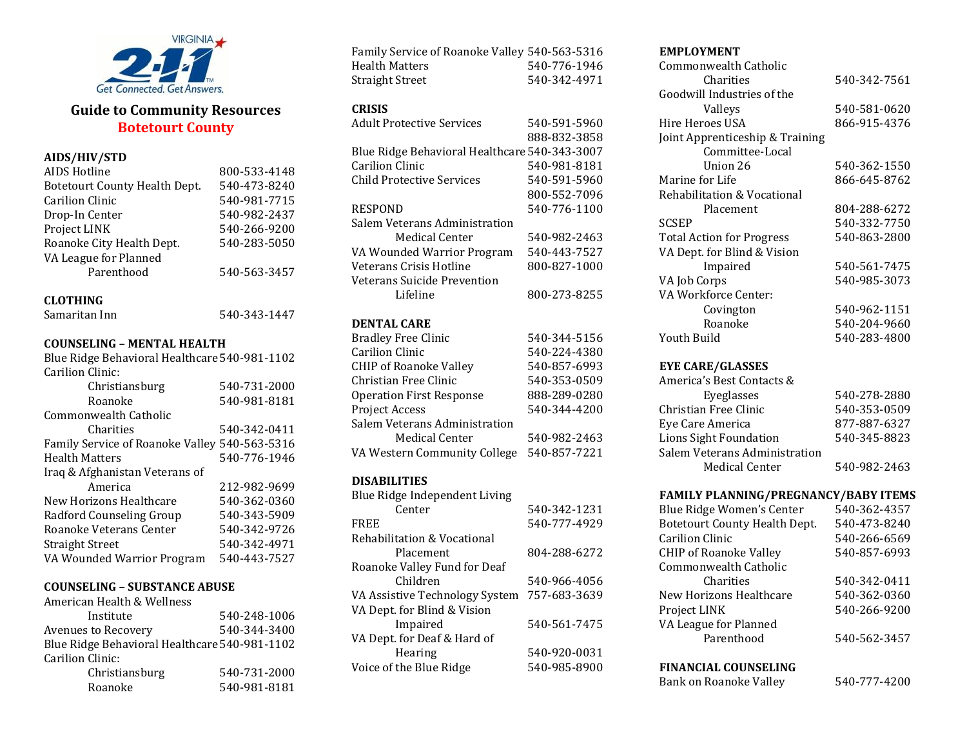

# **Guide to Community Resources Botetourt County**

# **AIDS/HIV/STD**

| AIDS Hotline                  | 800-533-4148 |
|-------------------------------|--------------|
| Botetourt County Health Dept. | 540-473-8240 |
| <b>Carilion Clinic</b>        | 540-981-7715 |
| Drop-In Center                | 540-982-2437 |
| Project LINK                  | 540-266-9200 |
| Roanoke City Health Dept.     | 540-283-5050 |
| VA League for Planned         |              |
| Parenthood                    | 540-563-3457 |
|                               |              |

# **CLOTHING**

| Samaritan Inn | 540-343-1447 |
|---------------|--------------|
|               |              |

# **COUNSELING – MENTAL HEALTH**

| Blue Ridge Behavioral Healthcare 540-981-1102 |              |
|-----------------------------------------------|--------------|
| Carilion Clinic:                              |              |
| Christiansburg                                | 540-731-2000 |
| Roanoke                                       | 540-981-8181 |
| Commonwealth Catholic                         |              |
| Charities                                     | 540-342-0411 |
| Family Service of Roanoke Valley 540-563-5316 |              |
| <b>Health Matters</b>                         | 540-776-1946 |
| Iraq & Afghanistan Veterans of                |              |
| America                                       | 212-982-9699 |
| New Horizons Healthcare                       | 540-362-0360 |
| Radford Counseling Group                      | 540-343-5909 |
| Roanoke Veterans Center                       | 540-342-9726 |
| <b>Straight Street</b>                        | 540-342-4971 |
| VA Wounded Warrior Program                    | 540-443-7527 |

#### **COUNSELING – SUBSTANCE ABUSE**  $A = \frac{1}{2}$  Wellness Health  $\frac{1}{2}$

| American Health & Wellness                    |              |
|-----------------------------------------------|--------------|
| Institute                                     | 540-248-1006 |
| Avenues to Recovery                           | 540-344-3400 |
| Blue Ridge Behavioral Healthcare 540-981-1102 |              |
| Carilion Clinic:                              |              |
| Christiansburg                                | 540-731-2000 |
| Roanoke                                       | 540-981-8181 |
|                                               |              |

| Family Service of Roanoke Valley 540-563-5316 |              |
|-----------------------------------------------|--------------|
| Health Matters                                | 540-776-1946 |
| Straight Street                               | 540-342-4971 |

### **CRISIS**

| 540-591-5960                                  |
|-----------------------------------------------|
| 888-832-3858                                  |
| Blue Ridge Behavioral Healthcare 540-343-3007 |
| 540-981-8181                                  |
| 540-591-5960                                  |
| 800-552-7096                                  |
| 540-776-1100                                  |
|                                               |
| 540-982-2463                                  |
| 540-443-7527                                  |
| 800-827-1000                                  |
|                                               |
| 800-273-8255                                  |
|                                               |

# **DENTAL CARE**

| <b>Bradley Free Clinic</b>    | 540-344-5156 |
|-------------------------------|--------------|
| <b>Carilion Clinic</b>        | 540-224-4380 |
| <b>CHIP of Roanoke Valley</b> | 540-857-6993 |
| Christian Free Clinic         | 540-353-0509 |
| Operation First Response      | 888-289-0280 |
| Project Access                | 540-344-4200 |
| Salem Veterans Administration |              |
| Medical Center                | 540-982-2463 |
| VA Western Community College  | 540-857-7221 |

# **DISABILITIES**

| Blue Ridge Independent Living  |              |
|--------------------------------|--------------|
| Center                         | 540-342-1231 |
| <b>FREE</b>                    | 540-777-4929 |
| Rehabilitation & Vocational    |              |
| Placement                      | 804-288-6272 |
| Roanoke Valley Fund for Deaf   |              |
| Children                       | 540-966-4056 |
| VA Assistive Technology System | 757-683-3639 |
| VA Dept. for Blind & Vision    |              |
| Impaired                       | 540-561-7475 |
| VA Dept. for Deaf & Hard of    |              |
| Hearing                        | 540-920-0031 |
| Voice of the Blue Ridge        | 540-985-8900 |
|                                |              |

## **EMPLOYMENT**

| Commonwealth Catholic           |              |
|---------------------------------|--------------|
| Charities                       | 540-342-7561 |
| Goodwill Industries of the      |              |
| Valleys                         | 540-581-0620 |
| Hire Heroes USA                 | 866-915-4376 |
| Joint Apprenticeship & Training |              |
| Committee-Local                 |              |
| Union 26                        | 540-362-1550 |
| Marine for Life                 | 866-645-8762 |
| Rehabilitation & Vocational     |              |
| Placement                       | 804-288-6272 |
| SCSEP                           | 540-332-7750 |
| Total Action for Progress       | 540-863-2800 |
| VA Dept. for Blind & Vision     |              |
| Impaired                        | 540-561-7475 |
| VA Job Corps                    | 540-985-3073 |
| VA Workforce Center:            |              |
| Covington                       | 540-962-1151 |
| Roanoke                         | 540-204-9660 |
| Youth Build                     | 540-283-4800 |
|                                 |              |

# **EYE CARE/GLASSES**

| America's Best Contacts &     |              |
|-------------------------------|--------------|
| Eyeglasses                    | 540-278-2880 |
| Christian Free Clinic         | 540-353-0509 |
| Eye Care America              | 877-887-6327 |
| Lions Sight Foundation        | 540-345-8823 |
| Salem Veterans Administration |              |
| <b>Medical Center</b>         | 540-982-2463 |

# **FAMILY PLANNING/PREGNANCY/BABY ITEMS**

| Blue Ridge Women's Center            | 540-362-4357 |
|--------------------------------------|--------------|
| <b>Botetourt County Health Dept.</b> | 540-473-8240 |
| Carilion Clinic                      | 540-266-6569 |
| <b>CHIP of Roanoke Valley</b>        | 540-857-6993 |
| Commonwealth Catholic                |              |
| Charities                            | 540-342-0411 |
| New Horizons Healthcare              | 540-362-0360 |
| Project LINK                         | 540-266-9200 |
| VA League for Planned                |              |
| Parenthood                           | 540-562-3457 |
|                                      |              |

### **FINANCIAL COUNSELING**

Bank on Roanoke Valley 540-777-4200